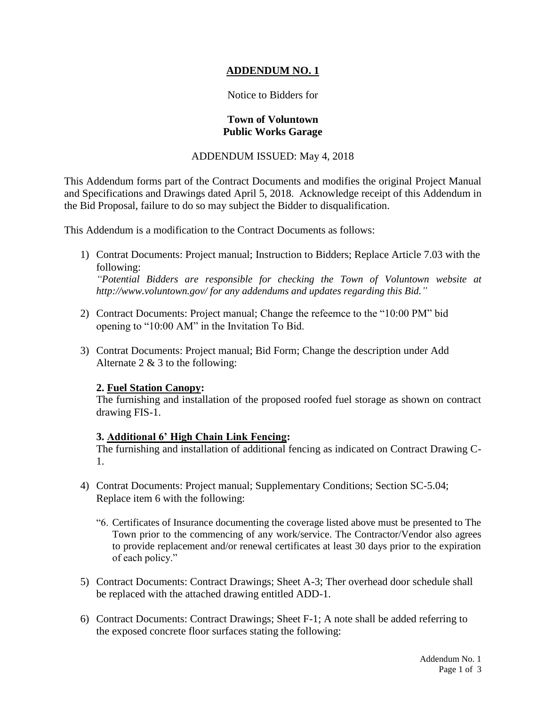# **ADDENDUM NO. 1**

## Notice to Bidders for

### **Town of Voluntown Public Works Garage**

## ADDENDUM ISSUED: May 4, 2018

This Addendum forms part of the Contract Documents and modifies the original Project Manual and Specifications and Drawings dated April 5, 2018. Acknowledge receipt of this Addendum in the Bid Proposal, failure to do so may subject the Bidder to disqualification.

This Addendum is a modification to the Contract Documents as follows:

- 1) Contrat Documents: Project manual; Instruction to Bidders; Replace Article 7.03 with the following: *"Potential Bidders are responsible for checking the Town of Voluntown website at http://www.voluntown.gov/ for any addendums and updates regarding this Bid."*
- 2) Contract Documents: Project manual; Change the refeemce to the "10:00 PM" bid opening to "10:00 AM" in the Invitation To Bid.
- 3) Contrat Documents: Project manual; Bid Form; Change the description under Add Alternate  $2 \& 3$  to the following:

# **2. Fuel Station Canopy:**

The furnishing and installation of the proposed roofed fuel storage as shown on contract drawing FIS-1.

# **3. Additional 6' High Chain Link Fencing:**

The furnishing and installation of additional fencing as indicated on Contract Drawing C-1.

- 4) Contrat Documents: Project manual; Supplementary Conditions; Section SC-5.04; Replace item 6 with the following:
	- "6. Certificates of Insurance documenting the coverage listed above must be presented to The Town prior to the commencing of any work/service. The Contractor/Vendor also agrees to provide replacement and/or renewal certificates at least 30 days prior to the expiration of each policy."
- 5) Contract Documents: Contract Drawings; Sheet A-3; Ther overhead door schedule shall be replaced with the attached drawing entitled ADD-1.
- 6) Contract Documents: Contract Drawings; Sheet F-1; A note shall be added referring to the exposed concrete floor surfaces stating the following: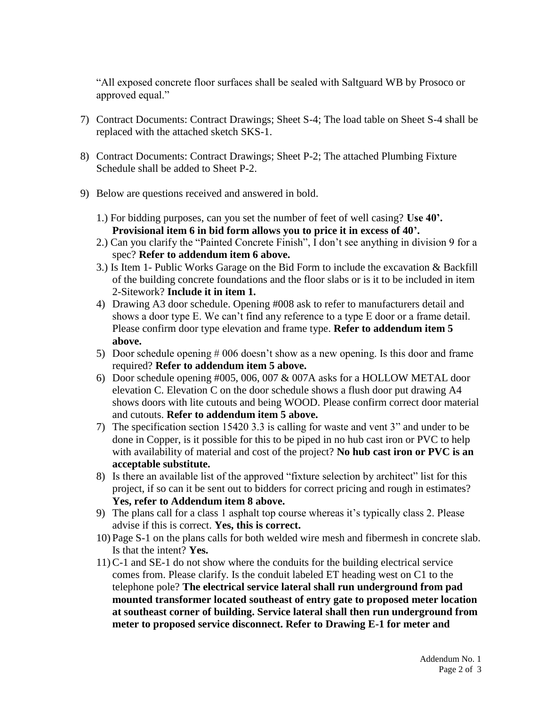"All exposed concrete floor surfaces shall be sealed with Saltguard WB by Prosoco or approved equal."

- 7) Contract Documents: Contract Drawings; Sheet S-4; The load table on Sheet S-4 shall be replaced with the attached sketch SKS-1.
- 8) Contract Documents: Contract Drawings; Sheet P-2; The attached Plumbing Fixture Schedule shall be added to Sheet P-2.
- 9) Below are questions received and answered in bold.
	- 1.) For bidding purposes, can you set the number of feet of well casing? **Use 40'. Provisional item 6 in bid form allows you to price it in excess of 40'.**
	- 2.) Can you clarify the "Painted Concrete Finish", I don't see anything in division 9 for a spec? **Refer to addendum item 6 above.**
	- 3.) Is Item 1- Public Works Garage on the Bid Form to include the excavation & Backfill of the building concrete foundations and the floor slabs or is it to be included in item 2-Sitework? **Include it in item 1.**
	- 4) Drawing A3 door schedule. Opening #008 ask to refer to manufacturers detail and shows a door type E. We can't find any reference to a type E door or a frame detail. Please confirm door type elevation and frame type. **Refer to addendum item 5 above.**
	- 5) Door schedule opening # 006 doesn't show as a new opening. Is this door and frame required? **Refer to addendum item 5 above.**
	- 6) Door schedule opening #005, 006, 007 & 007A asks for a HOLLOW METAL door elevation C. Elevation C on the door schedule shows a flush door put drawing A4 shows doors with lite cutouts and being WOOD. Please confirm correct door material and cutouts. **Refer to addendum item 5 above.**
	- 7) The specification section 15420 3.3 is calling for waste and vent 3" and under to be done in Copper, is it possible for this to be piped in no hub cast iron or PVC to help with availability of material and cost of the project? **No hub cast iron or PVC is an acceptable substitute.**
	- 8) Is there an available list of the approved "fixture selection by architect" list for this project, if so can it be sent out to bidders for correct pricing and rough in estimates? **Yes, refer to Addendum item 8 above.**
	- 9) The plans call for a class 1 asphalt top course whereas it's typically class 2. Please advise if this is correct. **Yes, this is correct.**
	- 10) Page S-1 on the plans calls for both welded wire mesh and fibermesh in concrete slab. Is that the intent? **Yes.**
	- 11) C-1 and SE-1 do not show where the conduits for the building electrical service comes from. Please clarify. Is the conduit labeled ET heading west on C1 to the telephone pole? **The electrical service lateral shall run underground from pad mounted transformer located southeast of entry gate to proposed meter location at southeast corner of building. Service lateral shall then run underground from meter to proposed service disconnect. Refer to Drawing E-1 for meter and**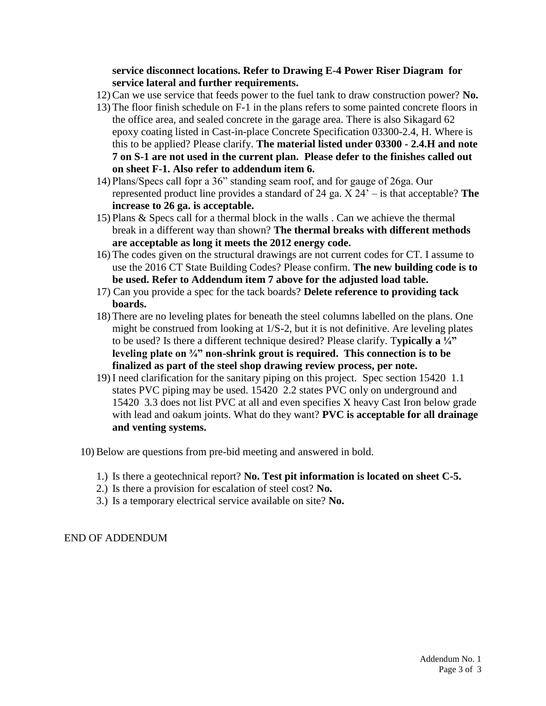**service disconnect locations. Refer to Drawing E-4 Power Riser Diagram for service lateral and further requirements.**

- 12) Can we use service that feeds power to the fuel tank to draw construction power? **No.**
- 13) The floor finish schedule on F-1 in the plans refers to some painted concrete floors in the office area, and sealed concrete in the garage area. There is also Sikagard 62 epoxy coating listed in Cast-in-place Concrete Specification 03300-2.4, H. Where is this to be applied? Please clarify. **The material listed under 03300 - 2.4.H and note 7 on S-1 are not used in the current plan. Please defer to the finishes called out on sheet F-1. Also refer to addendum item 6.**
- 14) Plans/Specs call fopr a 36" standing seam roof, and for gauge of 26ga. Our represented product line provides a standard of 24 ga. X 24' – is that acceptable? **The increase to 26 ga. is acceptable.**
- 15) Plans & Specs call for a thermal block in the walls . Can we achieve the thermal break in a different way than shown? **The thermal breaks with different methods are acceptable as long it meets the 2012 energy code.**
- 16) The codes given on the structural drawings are not current codes for CT. I assume to use the 2016 CT State Building Codes? Please confirm. **The new building code is to be used. Refer to Addendum item 7 above for the adjusted load table.**
- 17) Can you provide a spec for the tack boards? **Delete reference to providing tack boards.**
- 18) There are no leveling plates for beneath the steel columns labelled on the plans. One might be construed from looking at 1/S-2, but it is not definitive. Are leveling plates to be used? Is there a different technique desired? Please clarify. T**ypically a ¼" leveling plate on ¾" non-shrink grout is required. This connection is to be finalized as part of the steel shop drawing review process, per note.**
- 19) I need clarification for the sanitary piping on this project. Spec section 15420 1.1 states PVC piping may be used. 15420 2.2 states PVC only on underground and 15420 3.3 does not list PVC at all and even specifies X heavy Cast Iron below grade with lead and oakum joints. What do they want? **PVC is acceptable for all drainage and venting systems.**
- 10)Below are questions from pre-bid meeting and answered in bold.
	- 1.) Is there a geotechnical report? **No. Test pit information is located on sheet C-5.**
	- 2.) Is there a provision for escalation of steel cost? **No.**
	- 3.) Is a temporary electrical service available on site? **No.**

END OF ADDENDUM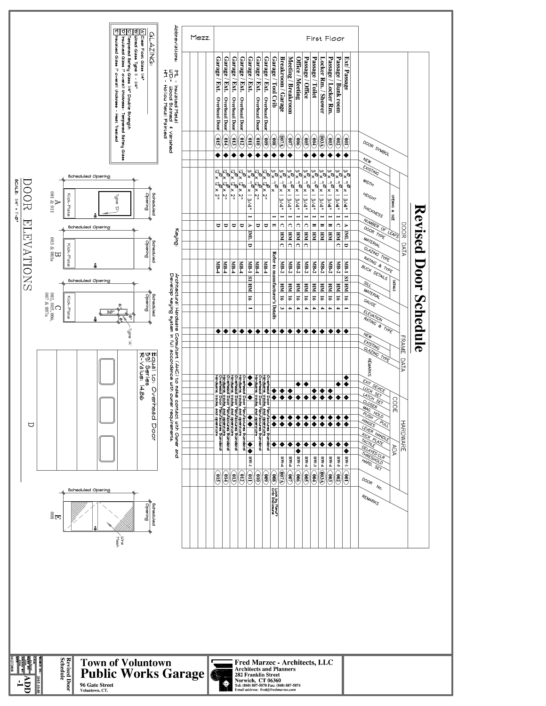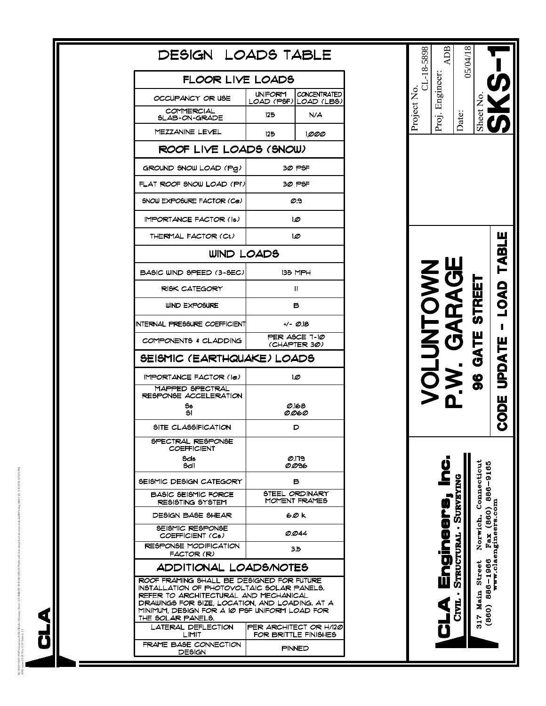| DESIGN LOADS TABLE                                                                                                                                                                                                                                       |                                                |                                              |  |  |  |
|----------------------------------------------------------------------------------------------------------------------------------------------------------------------------------------------------------------------------------------------------------|------------------------------------------------|----------------------------------------------|--|--|--|
| FLOOR LIVE LOADS                                                                                                                                                                                                                                         |                                                |                                              |  |  |  |
| OCCUPANCY OR USE                                                                                                                                                                                                                                         | <b>UNIFORM</b>                                 | <b>CONCENTRATED</b><br>LOAD (PSF) LOAD (LBS) |  |  |  |
| COMMERCIAL<br>SLAB-ON-GRADE                                                                                                                                                                                                                              | 125                                            | N/A                                          |  |  |  |
| MEZZANINE LEVEL                                                                                                                                                                                                                                          | 125                                            | 1,000                                        |  |  |  |
| ROOF LIVE LOADS (SNOW)                                                                                                                                                                                                                                   |                                                |                                              |  |  |  |
| GROUND SNOW LOAD (Pg)                                                                                                                                                                                                                                    |                                                | 30 PSF                                       |  |  |  |
| FLAT ROOF SNOW LOAD (Pf)                                                                                                                                                                                                                                 | 30 PSF                                         |                                              |  |  |  |
| SNOW EXPOSURE FACTOR (Ce)                                                                                                                                                                                                                                | లని                                            |                                              |  |  |  |
| <b>IMPORTANCE FACTOR (Is)</b>                                                                                                                                                                                                                            | 10                                             |                                              |  |  |  |
| THERMAL FACTOR (Ct)                                                                                                                                                                                                                                      | 10                                             |                                              |  |  |  |
| WIND LOADS                                                                                                                                                                                                                                               |                                                |                                              |  |  |  |
| BASIC WIND SPEED (3-SEC)                                                                                                                                                                                                                                 | <b>135 MPH</b>                                 |                                              |  |  |  |
| <b>RISK CATEGORY</b>                                                                                                                                                                                                                                     | Ш                                              |                                              |  |  |  |
| WIND EXPOSURE                                                                                                                                                                                                                                            | в                                              |                                              |  |  |  |
| INTERNAL PRESSURE COEFFICIENT                                                                                                                                                                                                                            | +/- 0.18                                       |                                              |  |  |  |
| COMPONENTS & CLADDING                                                                                                                                                                                                                                    | PER ASCE 7-10<br>(CHAPTER 30)                  |                                              |  |  |  |
| SEISMIC (EARTHQUAKE) LOADS                                                                                                                                                                                                                               |                                                |                                              |  |  |  |
| <b>IMPORTANCE FACTOR (Ie)</b>                                                                                                                                                                                                                            | 10                                             |                                              |  |  |  |
| MAPPED SPECTRAL<br><b>RESPONSE ACCELERATION</b>                                                                                                                                                                                                          |                                                |                                              |  |  |  |
| Ss<br>SΙ                                                                                                                                                                                                                                                 | 0.168<br>0.060                                 |                                              |  |  |  |
| SITE CLASSIFICATION                                                                                                                                                                                                                                      | D                                              |                                              |  |  |  |
| SPECTRAL RESPONSE<br>COEFFICIENT                                                                                                                                                                                                                         |                                                |                                              |  |  |  |
| Sds<br>Sdi                                                                                                                                                                                                                                               | 0.179<br>0.096                                 |                                              |  |  |  |
| SEISMIC DESIGN CATEGORY                                                                                                                                                                                                                                  | в                                              |                                              |  |  |  |
| <b>BASIC SEISMIC FORCE</b><br>RESISTING SYSTEM                                                                                                                                                                                                           | STEEL ORDINARY<br>MOMENT FRAMES                |                                              |  |  |  |
| DESIGN BASE SHEAR                                                                                                                                                                                                                                        | 60 k                                           |                                              |  |  |  |
| SEISMIC RESPONSE<br>COEFFICIENT (Cs)                                                                                                                                                                                                                     | O.O44                                          |                                              |  |  |  |
| <b>RESPONSE MODIFICATION</b><br>FACTOR (R)                                                                                                                                                                                                               | 35                                             |                                              |  |  |  |
| <b>ADDITIONAL LOADS/NOTES</b>                                                                                                                                                                                                                            |                                                |                                              |  |  |  |
| ROOF FRAMING SHALL BE DESIGNED FOR FUTURE<br>INSTALLATION OF PHOTOVOLTAIC SOLAR PANELS.<br>REFER TO ARCHITECTURAL AND MECHANICAL<br>DRAWINGS FOR SIZE, LOCATION, AND LOADING. AT A<br>MINIMUM, DESIGN FOR A 10 PSF UNIFORM LOAD FOR<br>THE SOLAR PANELS. |                                                |                                              |  |  |  |
| LATERAL DEFLECTION<br>LIMIT                                                                                                                                                                                                                              | PER ARCHITECT OR H/120<br>FOR BRITTLE FINISHES |                                              |  |  |  |
| FRAME BASE CONNECTION<br>DESIGN                                                                                                                                                                                                                          | PINNED                                         |                                              |  |  |  |
|                                                                                                                                                                                                                                                          |                                                |                                              |  |  |  |

# CL-18-5898<br>Proj. Engineer:<br>Date:<br>Sheet No.<br>Sheet No. Project No. Sheet No. Date: CODE UPDATE - LOAD TABLE VOLUNTOWN<br>P.W. GARAGE 96 GATE STREET CLA Engineers, Inc. 317 Main Street Norwich, Connecticut (860) 886–1966  $\overline{Pax}$  (860) 886–9165 www.claengineers.com CIVIL - STRUCTURAL - SURVEYING

M:\5000\5500\5598 Voluntown Public Works\Drawings\Struct\+CURRENT\FOUNDATION PlaN with fuel island structure included-REV.dwg, SKS-1 (2), 5/4/2018 2:03:01 PM, ANSI expand A (8.50 x 11.00 Inches), 1:11<br>ANSI expand A (8.50 x 0,5998 Volumewn Public Works\D<br>((8.50 x 11.00 Inches), 1:1

**ALG** 

eJREV-Jwg. SKS1 (2),  $5/4/2018$  2.03.01 PM,